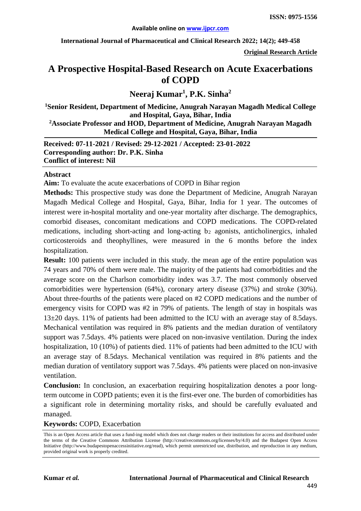**International Journal of Pharmaceutical and Clinical Research 2022; 14(2); 449-458**

**Original Research Article**

# **A Prospective Hospital-Based Research on Acute Exacerbations of COPD**

## **Neeraj Kumar1 , P.K. Sinha<sup>2</sup>**

**1 Senior Resident, Department of Medicine, Anugrah Narayan Magadh Medical College and Hospital, Gaya, Bihar, India**

**2 Associate Professor and HOD, Department of Medicine, Anugrah Narayan Magadh Medical College and Hospital, Gaya, Bihar, India**

**Received: 07-11-2021 / Revised: 29-12-2021 / Accepted: 23-01-2022 Corresponding author: Dr. P.K. Sinha Conflict of interest: Nil**

#### **Abstract**

**Aim:** To evaluate the acute exacerbations of COPD in Bihar region

**Methods:** This prospective study was done the Department of Medicine, Anugrah Narayan Magadh Medical College and Hospital, Gaya, Bihar, India for 1 year. The outcomes of interest were in-hospital mortality and one-year mortality after discharge. The demographics, comorbid diseases, concomitant medications and COPD medications. The COPD-related medications, including short-acting and long-acting b2 agonists, anticholinergics, inhaled corticosteroids and theophyllines, were measured in the 6 months before the index hospitalization.

**Result:** 100 patients were included in this study. the mean age of the entire population was 74 years and 70% of them were male. The majority of the patients had comorbidities and the average score on the Charlson comorbidity index was 3.7. The most commonly observed comorbidities were hypertension (64%), coronary artery disease (37%) and stroke (30%). About three-fourths of the patients were placed on #2 COPD medications and the number of emergency visits for COPD was #2 in 79% of patients. The length of stay in hospitals was 13±20 days. 11% of patients had been admitted to the ICU with an average stay of 8.5days. Mechanical ventilation was required in 8% patients and the median duration of ventilatory support was 7.5days. 4% patients were placed on non-invasive ventilation. During the index hospitalization, 10 (10%) of patients died. 11% of patients had been admitted to the ICU with an average stay of 8.5days. Mechanical ventilation was required in 8% patients and the median duration of ventilatory support was 7.5days. 4% patients were placed on non-invasive ventilation.

**Conclusion:** In conclusion, an exacerbation requiring hospitalization denotes a poor longterm outcome in COPD patients; even it is the first-ever one. The burden of comorbidities has a significant role in determining mortality risks, and should be carefully evaluated and managed.

**Keywords:** COPD, Exacerbation

This is an Open Access article that uses a fund-ing model which does not charge readers or their institutions for access and distributed under the terms of the Creative Commons Attribution License (http://creativecommons.org/licenses/by/4.0) and the Budapest Open Access Initiative (http://www.budapestopenaccessinitiative.org/read), which permit unrestricted use, distribution, and reproduction in any medium, provided original work is properly credited.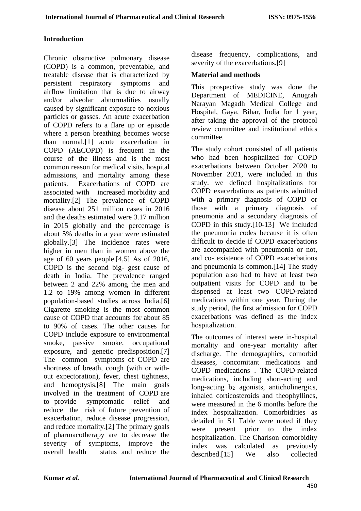#### **Introduction**

Chronic obstructive pulmonary disease (COPD) is a common, preventable, and treatable disease that is characterized by persistent respiratory symptoms and airflow limitation that is due to airway and/or alveolar abnormalities usually caused by significant exposure to noxious particles or gasses. An acute exacerbation of COPD refers to a flare up or episode where a person breathing becomes worse than normal.[1] acute exacerbation in COPD (AECOPD) is frequent in the course of the illness and is the most common reason for medical visits, hospital admissions, and mortality among these patients. Exacerbations of COPD are associated with increased morbidity and mortality.[2] The prevalence of COPD disease about 251 million cases in 2016 and the deaths estimated were 3.17 million in 2015 globally and the percentage is about 5% deaths in a year were estimated globally.[3] The incidence rates were higher in men than in women above the age of 60 years people.[4,5] As of 2016, COPD is the second big- gest cause of death in India. The prevalence ranged between 2 and 22% among the men and 1.2 to 19% among women in different population-based studies across India.[6] Cigarette smoking is the most common cause of COPD that accounts for about 85 to 90% of cases. The other causes for COPD include exposure to environmental smoke, passive smoke, occupational exposure, and genetic predisposition.[7] The common symptoms of COPD are shortness of breath, cough (with or without expectoration), fever, chest tightness, and hemoptysis.[8] The main goals involved in the treatment of COPD are to provide symptomatic relief and reduce the risk of future prevention of exacerbation, reduce disease progression, and reduce mortality.[2] The primary goals of pharmacotherapy are to decrease the severity of symptoms, improve the overall health status and reduce the

disease frequency, complications, and severity of the exacerbations.<sup>[9]</sup>

#### **Material and methods**

This prospective study was done the Department of MEDICINE, Anugrah Narayan Magadh Medical College and Hospital, Gaya, Bihar, India for 1 year, after taking the approval of the protocol review committee and institutional ethics committee.

The study cohort consisted of all patients who had been hospitalized for COPD exacerbations between October 2020 to November 2021, were included in this study. we defined hospitalizations for COPD exacerbations as patients admitted with a primary diagnosis of COPD or those with a primary diagnosis of pneumonia and a secondary diagnosis of COPD in this study.[10-13] We included the pneumonia codes because it is often difficult to decide if COPD exacerbations are accompanied with pneumonia or not, and co- existence of COPD exacerbations and pneumonia is common.[14] The study population also had to have at least two outpatient visits for COPD and to be dispensed at least two COPD-related medications within one year. During the study period, the first admission for COPD exacerbations was defined as the index hospitalization.

The outcomes of interest were in-hospital mortality and one-year mortality after discharge. The demographics, comorbid diseases, concomitant medications and COPD medications . The COPD-related medications, including short-acting and long-acting b<sub>2</sub> agonists, anticholinergics, inhaled corticosteroids and theophyllines, were measured in the 6 months before the index hospitalization. Comorbidities as detailed in S1 Table were noted if they were present prior to the index hospitalization. The Charlson comorbidity index was calculated as previously described.[15] We also collected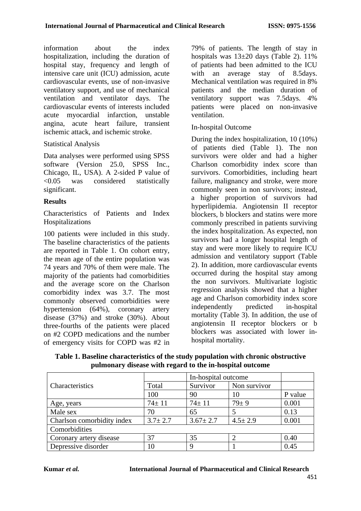information about the index hospitalization, including the duration of hospital stay, frequency and length of intensive care unit (ICU) admission, acute cardiovascular events, use of non-invasive ventilatory support, and use of mechanical ventilation and ventilator days. The cardiovascular events of interests included acute myocardial infarction, unstable angina, acute heart failure, transient ischemic attack, and ischemic stroke.

## Statistical Analysis

Data analyses were performed using SPSS software (Version 25.0, SPSS Inc., Chicago, IL, USA). A 2-sided P value of <0.05 was considered statistically significant.

#### **Results**

Characteristics of Patients and Index Hospitalizations

100 patients were included in this study. The baseline characteristics of the patients are reported in Table 1. On cohort entry, the mean age of the entire population was 74 years and 70% of them were male. The majority of the patients had comorbidities and the average score on the Charlson comorbidity index was 3.7. The most commonly observed comorbidities were hypertension (64%), coronary artery disease (37%) and stroke (30%). About three-fourths of the patients were placed on #2 COPD medications and the number of emergency visits for COPD was #2 in 79% of patients. The length of stay in hospitals was  $13\pm20$  days (Table 2). 11% of patients had been admitted to the ICU with an average stay of 8.5 days. Mechanical ventilation was required in 8% patients and the median duration of ventilatory support was 7.5days. 4% patients were placed on non-invasive ventilation.

## In-hospital Outcome

During the index hospitalization, 10 (10%) of patients died (Table 1). The non survivors were older and had a higher Charlson comorbidity index score than survivors. Comorbidities, including heart failure, malignancy and stroke, were more commonly seen in non survivors; instead, a higher proportion of survivors had hyperlipidemia. Angiotensin II receptor blockers, b blockers and statins were more commonly prescribed in patients surviving the index hospitalization. As expected, non survivors had a longer hospital length of stay and were more likely to require ICU admission and ventilatory support (Table 2). In addition, more cardiovascular events occurred during the hospital stay among the non survivors. Multivariate logistic regression analysis showed that a higher age and Charlson comorbidity index score independently predicted in-hospital mortality (Table 3). In addition, the use of angiotensin II receptor blockers or b blockers was associated with lower inhospital mortality.

|                            |               | In-hospital outcome |               |         |  |
|----------------------------|---------------|---------------------|---------------|---------|--|
| Characteristics            | Total         | Survivor            | Non survivor  |         |  |
|                            | 100           | 90                  | 10            | P value |  |
| Age, years                 | $74 \pm 11$   | $74 \pm 11$         | $79 + 9$      | 0.001   |  |
| Male sex                   | 70            | 65                  |               | 0.13    |  |
| Charlson comorbidity index | $3.7 \pm 2.7$ | $3.67 \pm 2.7$      | $4.5 \pm 2.9$ | 0.001   |  |
| Comorbidities              |               |                     |               |         |  |
| Coronary artery disease    | 37            | 35                  |               | 0.40    |  |
| Depressive disorder        | l O           | 9                   |               | 0.45    |  |

**Table 1. Baseline characteristics of the study population with chronic obstructive pulmonary disease with regard to the in-hospital outcome**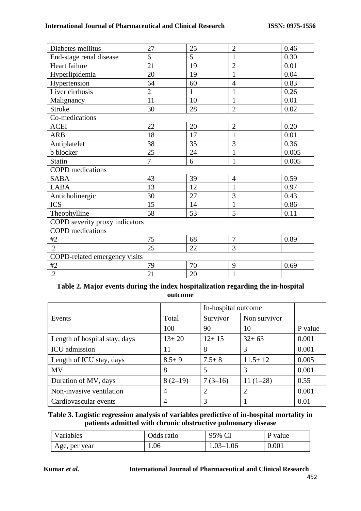#### **International Journal of Pharmaceutical and Clinical Research ISSN: 0975-1556**

| Diabetes mellitus              | 27             | 25           | $\overline{2}$ | 0.46  |
|--------------------------------|----------------|--------------|----------------|-------|
| End-stage renal disease        | 6              | 5            | $\mathbf{1}$   | 0.30  |
| Heart failure                  | 21             | 19           | $\overline{2}$ | 0.01  |
| Hyperlipidemia                 | 20             | 19           | $\mathbf{1}$   | 0.04  |
| Hypertension                   | 64             | 60           | $\overline{4}$ | 0.83  |
| Liver cirrhosis                | $\overline{2}$ | $\mathbf{1}$ | $\mathbf{1}$   | 0.26  |
| Malignancy                     | 11             | 10           | $\mathbf{1}$   | 0.01  |
| <b>Stroke</b>                  | 30             | 28           | $\overline{2}$ | 0.02  |
| Co-medications                 |                |              |                |       |
| <b>ACEI</b>                    | 22             | 20           | $\overline{2}$ | 0.20  |
| <b>ARB</b>                     | 18             | 17           | $\mathbf{1}$   | 0.01  |
| Antiplatelet                   | 38             | 35           | 3              | 0.36  |
| b blocker                      | 25             | 24           | $\mathbf{1}$   | 0.005 |
| <b>Statin</b>                  | $\overline{7}$ | 6            | $\mathbf{1}$   | 0.005 |
| <b>COPD</b> medications        |                |              |                |       |
| <b>SABA</b>                    | 43             | 39           | $\overline{4}$ | 0.59  |
| <b>LABA</b>                    | 13             | 12           | $\mathbf{1}$   | 0.97  |
| Anticholinergic                | 30             | 27           | 3              | 0.43  |
| <b>ICS</b>                     | 15             | 14           | $\mathbf{1}$   | 0.86  |
| Theophylline                   | 58             | 53           | 5              | 0.11  |
| COPD severity proxy indicators |                |              |                |       |
| <b>COPD</b> medications        |                |              |                |       |
| #2                             | 75             | 68           | $\overline{7}$ | 0.89  |
| $\cdot$ 2                      | 25             | 22           | 3              |       |
| COPD-related emergency visits  |                |              |                |       |
| #2                             | 79             | 70           | 9              | 0.69  |
| $\cdot$ .2                     | 21             | 20           | $\mathbf{1}$   |       |

### **Table 2. Major events during the index hospitalization regarding the in-hospital outcome**

|                               |             | In-hospital outcome |               |         |
|-------------------------------|-------------|---------------------|---------------|---------|
| Events                        | Total       | Survivor            | Non survivor  |         |
|                               | 100         | 90                  | 10            | P value |
| Length of hospital stay, days | $13 \pm 20$ | $12 \pm 15$         | $32 \pm 63$   | 0.001   |
| <b>ICU</b> admission          | 11          | 8                   | 3             | 0.001   |
| Length of ICU stay, days      | $8.5 \pm 9$ | $7.5 \pm 8$         | $11.5 \pm 12$ | 0.005   |
| <b>MV</b>                     | 8           | 5                   | 3             | 0.001   |
| Duration of MV, days          | $8(2-19)$   | $7(3-16)$           | $11(1-28)$    | 0.55    |
| Non-invasive ventilation      | 4           | $\overline{2}$      |               | 0.001   |
| Cardiovascular events         | 4           | 3                   |               | 0.01    |

#### **Table 3. Logistic regression analysis of variables predictive of in-hospital mortality in patients admitted with chronic obstructive pulmonary disease**

| Variables     | Odds ratio | 95% CI        | P value |
|---------------|------------|---------------|---------|
| Age, per year | 1.06       | $1.03 - 1.06$ | 0.001   |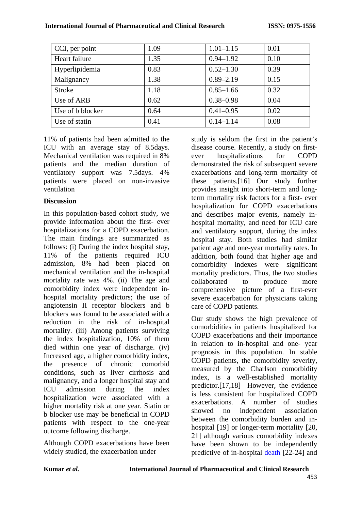| CCI, per point   | 1.09 | $1.01 - 1.15$ | 0.01 |
|------------------|------|---------------|------|
| Heart failure    | 1.35 | $0.94 - 1.92$ | 0.10 |
| Hyperlipidemia   | 0.83 | $0.52 - 1.30$ | 0.39 |
| Malignancy       | 1.38 | $0.89 - 2.19$ | 0.15 |
| <b>Stroke</b>    | 1.18 | $0.85 - 1.66$ | 0.32 |
| Use of ARB       | 0.62 | $0.38 - 0.98$ | 0.04 |
| Use of b blocker | 0.64 | $0.41 - 0.95$ | 0.02 |
| Use of statin    | 0.41 | $0.14 - 1.14$ | 0.08 |

11% of patients had been admitted to the ICU with an average stay of 8.5days. Mechanical ventilation was required in 8% patients and the median duration of ventilatory support was 7.5days. 4% patients were placed on non-invasive ventilation

## **Discussion**

In this population-based cohort study, we provide information about the first- ever hospitalizations for a COPD exacerbation. The main findings are summarized as follows: (i) During the index hospital stay, 11% of the patients required ICU admission, 8% had been placed on mechanical ventilation and the in-hospital mortality rate was 4%. (ii) The age and comorbidity index were independent inhospital mortality predictors; the use of angiotensin II receptor blockers and b blockers was found to be associated with a reduction in the risk of in-hospital mortality. (iii) Among patients surviving the index hospitalization, 10% of them died within one year of discharge. (iv) Increased age, a higher comorbidity index, the presence of chronic comorbid conditions, such as liver cirrhosis and malignancy, and a longer hospital stay and ICU admission during the index hospitalization were associated with a higher mortality risk at one year. Statin or b blocker use may be beneficial in COPD patients with respect to the one-year outcome following discharge.

Although COPD exacerbations have been widely studied, the exacerbation under

study is seldom the first in the patient's disease course. Recently, a study on firstever hospitalizations for COPD demonstrated the risk of subsequent severe exacerbations and long-term mortality of these patients.[16] Our study further provides insight into short-term and longterm mortality risk factors for a first- ever hospitalization for COPD exacerbations and describes major events, namely inhospital mortality, and need for ICU care and ventilatory support, during the index hospital stay. Both studies had similar patient age and one-year mortality rates. In addition, both found that higher age and comorbidity indexes were significant mortality predictors. Thus, the two studies collaborated to produce more comprehensive picture of a first-ever severe exacerbation for physicians taking care of COPD patients.

Our study shows the high prevalence of comorbidities in patients hospitalized for COPD exacerbations and their importance in relation to in-hospital and one- year prognosis in this population. In stable COPD patients, the comorbidity severity, measured by the Charlson comorbidity index, is a well-established mortality predictor.[17,18] However, the evidence is less consistent for hospitalized COPD exacerbations. A number of studies showed no independent association between the comorbidity burden and inhospital [19] or longer-term mortality [20, 21] although various comorbidity indexes have been shown to be independently predictive of in-hospital [death](#page-8-0) [22[-24\]](#page-8-0) and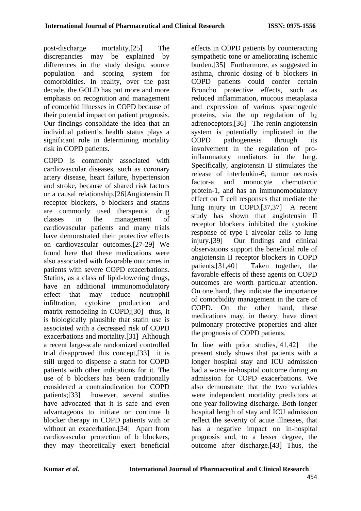post-discharge mortality.[25] The discrepancies may be explained by differences in the study design, source population and scoring system for comorbidities. In reality, over the past decade, the GOLD has put more and more emphasis on recognition and management of comorbid illnesses in COPD because of their potential impact on patient prognosis. Our findings consolidate the idea that an individual patient's health status plays a significant role in determining mortality risk in COPD patients.

COPD is commonly associated with cardiovascular diseases, such as coronary artery disease, heart failure, hypertension and stroke, because of shared risk factors or a causal relationship.[26]Angiotensin II receptor blockers, b blockers and statins are commonly used therapeutic drug classes in the management of cardiovascular patients and many trials have demonstrated their protective effects on cardiovascular outcomes.[27-29] We found here that these medications were also associated with favorable outcomes in patients with severe COPD exacerbations. Statins, as a class of lipid-lowering drugs, have an additional immunomodulatory effect that may reduce neutrophil infiltration, cytokine production and matrix remodeling in COPD;[30] thus, it is biologically plausible that statin use is associated with a decreased risk of COPD exacerbations and mortality.[31] Although a recent large-scale randomized controlled trial disapproved this concept,[33] it is still urged to dispense a statin for COPD patients with other indications for it. The use of b blockers has been traditionally considered a contraindication for COPD patients;[33] however, several studies have advocated that it is safe and even advantageous to initiate or continue b blocker therapy in COPD patients with or without an exacerbation.[34] Apart from cardiovascular protection of b blockers, they may theoretically exert beneficial

effects in COPD patients by counteracting sympathetic tone or ameliorating ischemic burden.[35] Furthermore, as suggested in asthma, chronic dosing of b blockers in COPD patients could confer certain Broncho protective effects, such as reduced inflammation, mucous metaplasia and expression of various spasmogenic proteins, via the up regulation of b2 adrenoceptors.[36] The renin-angiotensin system is potentially implicated in the COPD pathogenesis through its involvement in the regulation of proinflammatory mediators in the lung. Specifically, angiotensin II stimulates the release of interleukin-6, tumor necrosis factor-a and monocyte chemotactic protein-1, and has an immunomodulatory effect on T cell responses that mediate the lung injury in COPD.[37,37] A recent study has shown that angiotensin II receptor blockers inhibited the cytokine response of type I alveolar cells to lung injury.[39] Our findings and clinical observations support the beneficial role of angiotensin II receptor blockers in COPD patients.[31,40] Taken together, the favorable effects of these agents on COPD outcomes are worth particular attention. On one hand, they indicate the importance of comorbidity management in the care of COPD. On the other hand, these medications may, in theory, have direct pulmonary protective properties and alter the prognosis of COPD patients.

In line with prior studies,[41,42] the present study shows that patients with a longer hospital stay and ICU admission had a worse in-hospital outcome during an admission for COPD exacerbations. We also demonstrate that the two variables were independent mortality predictors at one year following discharge. Both longer hospital length of stay and ICU admission reflect the severity of acute illnesses, that has a negative impact on in-hospital prognosis and, to a lesser degree, the outcome after discharge.[43] Thus, the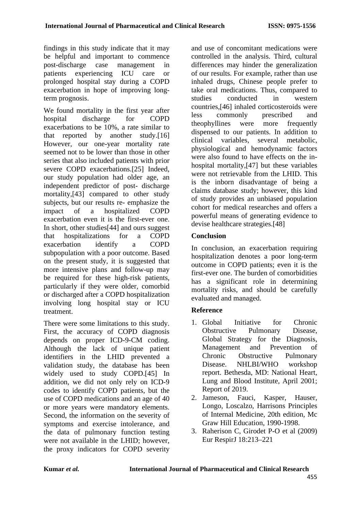findings in this study indicate that it may be helpful and important to commence post-discharge case management in patients experiencing ICU care or prolonged hospital stay during a COPD exacerbation in hope of improving longterm prognosis.

We found mortality in the first year after hospital discharge for COPD exacerbations to be 10%, a rate similar to that reported by another study.[16] However, our one-year mortality rate seemed not to be lower than those in other series that also included patients with prior severe COPD exacerbations.[25] Indeed, our study population had older age, an independent predictor of post- discharge mortality,[43] compared to other study subjects, but our results re- emphasize the impact of a hospitalized COPD exacerbation even it is the first-ever one. In short, other studies[44] and ours suggest that hospitalizations for a COPD exacerbation identify a COPD subpopulation with a poor outcome. Based on the present study, it is suggested that more intensive plans and follow-up may be required for these high-risk patients, particularly if they were older, comorbid or discharged after a COPD hospitalization involving long hospital stay or ICU treatment.

There were some limitations to this study. First, the accuracy of COPD diagnosis depends on proper ICD-9-CM coding. Although the lack of unique patient identifiers in the LHID prevented a validation study, the database has been widely used to study COPD.[45] In addition, we did not only rely on ICD-9 codes to identify COPD patients, but the use of COPD medications and an age of 40 or more years were mandatory elements. Second, the information on the severity of symptoms and exercise intolerance, and the data of pulmonary function testing were not available in the LHID; however, the proxy indicators for COPD severity

and use of concomitant medications were controlled in the analysis. Third, cultural differences may hinder the generalization of our results. For example, rather than use inhaled drugs, Chinese people prefer to take oral medications. Thus, compared to studies conducted in western countries,[46] inhaled corticosteroids were less commonly prescribed and theophyllines were more frequently dispensed to our patients. In addition to clinical variables, several metabolic, physiological and hemodynamic factors were also found to have effects on the inhospital mortality,[47] but these variables were not retrievable from the LHID. This is the inborn disadvantage of being a claims database study; however, this kind of study provides an unbiased population cohort for medical researches and offers a powerful means of generating evidence to devise healthcare strategies.[48]

## **Conclusion**

In conclusion, an exacerbation requiring hospitalization denotes a poor long-term outcome in COPD patients; even it is the first-ever one. The burden of comorbidities has a significant role in determining mortality risks, and should be carefully evaluated and managed.

## **Reference**

- 1. Global Initiative for Chronic Obstructive Pulmonary Disease, Global Strategy for the Diagnosis, Management and Prevention of Chronic Obstructive Pulmonary Disease. NHLBI/WHO workshop report. Bethesda, MD: National Heart, Lung and Blood Institute, April 2001; Report of 2019.
- 2. Jameson, Fauci, Kasper, Hauser, Longo, Loscalzo, Harrisons Principles of Internal Medicine, 20th edition, Mc Graw Hill Education, 1990-1998.
- 3. Raherison C, Girodet P-O et al (2009) Eur RespirJ 18:213–221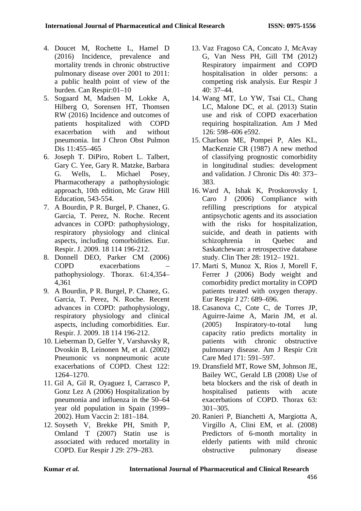- 4. Doucet M, Rochette L, Hamel D (2016) Incidence, prevalence and mortality trends in chronic obstructive pulmonary disease over 2001 to 2011: a public health point of view of the burden. Can Respir:01–10
- 5. Sogaard M, Madsen M, Lokke A, Hilberg O, Sorensen HT, Thomsen RW (2016) Incidence and outcomes of patients hospitalized with COPD exacerbation with and without pneumonia. Int J Chron Obst Pulmon Dis 11:455–465
- 6. Joseph T. DiPiro, Robert L. Talbert, Gary C. Yee, Gary R. Matzke, Barbara G. Wells, L. Michael Posey, Pharmacotherapy a pathophysiologic approach, 10th edition, Mc Graw Hill Education, 543-554.
- 7. A Bourdin, P R. Burgel, P. Chanez, G. Garcia, T. Perez, N. Roche. Recent advances in COPD: pathophysiology, respiratory physiology and clinical aspects, including comorbidities. Eur. Respir. J. 2009. 18 114 196-212.
- 8. Donnell DEO, Parker CM (2006) COPD exacerbations – pathophysiology. Thorax. 61:4,354– 4,361
- 9. A Bourdin, P R. Burgel, P. Chanez, G. Garcia, T. Perez, N. Roche. Recent advances in COPD: pathophysiology, respiratory physiology and clinical aspects, including comorbidities. Eur. Respir. J. 2009. 18 114 196-212.
- 10. Lieberman D, Gelfer Y, Varshavsky R, Dvoskin B, Leinonen M, et al. (2002) Pneumonic vs nonpneumonic acute exacerbations of COPD. Chest 122: 1264–1270.
- 11. Gil A, Gil R, Oyaguez I, Carrasco P, Gonz Lez A (2006) Hospitalization by pneumonia and influenza in the 50–64 year old population in Spain (1999– 2002). Hum Vaccin 2: 181–184.
- 12. Soyseth V, Brekke PH, Smith P, Omland T (2007) Statin use is associated with reduced mortality in COPD. Eur Respir J 29: 279–283.
- 13. Vaz Fragoso CA, Concato J, McAvay G, Van Ness PH, Gill TM (2012) Respiratory impairment and COPD hospitalisation in older persons: a competing risk analysis. Eur Respir J 40: 37–44.
- 14. Wang MT, Lo YW, Tsai CL, Chang LC, Malone DC, et al. (2013) Statin use and risk of COPD exacerbation requiring hospitalization. Am J Med 126: 598–606 e592.
- 15. Charlson ME, Pompei P, Ales KL, MacKenzie CR (1987) A new method of classifying prognostic comorbidity in longitudinal studies: development and validation. J Chronic Dis 40: 373– 383.
- 16. Ward A, Ishak K, Proskorovsky I, Caro J (2006) Compliance with refilling prescriptions for atypical antipsychotic agents and its association with the risks for hospitalization. suicide, and death in patients with schizophrenia in Quebec and Saskatchewan: a retrospective database study. Clin Ther 28: 1912– 1921.
- 17. Marti S, Munoz X, Rios J, Morell F, Ferrer J (2006) Body weight and comorbidity predict mortality in COPD patients treated with oxygen therapy. Eur Respir J 27: 689–696.
- 18. Casanova C, Cote C, de Torres JP, Aguirre-Jaime A, Marin JM, et al. (2005) Inspiratory-to-total lung capacity ratio predicts mortality in patients with chronic obstructive pulmonary disease. Am J Respir Crit Care Med 171: 591–597.
- 19. Dransfield MT, Rowe SM, Johnson JE, Bailey WC, Gerald LB (2008) Use of beta blockers and the risk of death in hospitalised patients with acute exacerbations of COPD. Thorax 63: 301–305.
- 20. Ranieri P, Bianchetti A, Margiotta A, Virgillo A, Clini EM, et al. (2008) Predictors of 6-month mortality in elderly patients with mild chronic obstructive pulmonary disease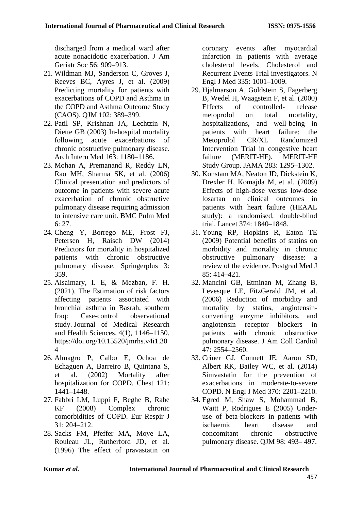discharged from a medical ward after acute nonacidotic exacerbation. J Am Geriatr Soc 56: 909–913.

- 21. Wildman MJ, Sanderson C, Groves J, Reeves BC, Ayres J, et al. (2009) Predicting mortality for patients with exacerbations of COPD and Asthma in the COPD and Asthma Outcome Study (CAOS). QJM 102: 389–399.
- <span id="page-8-0"></span>22. Patil SP, Krishnan JA, Lechtzin N, Diette GB (2003) In-hospital mortality following acute exacerbations of chronic obstructive pulmonary disease. Arch Intern Med 163: 1180–1186.
- 23. Mohan A, Premanand R, Reddy LN, Rao MH, Sharma SK, et al. (2006) Clinical presentation and predictors of outcome in patients with severe acute exacerbation of chronic obstructive pulmonary disease requiring admission to intensive care unit. BMC Pulm Med 6: 27.
- 24. Cheng Y, Borrego ME, Frost FJ, Petersen H, Raisch DW (2014) Predictors for mortality in hospitalized patients with chronic obstructive pulmonary disease. Springerplus 3: 359.
- 25. Alsaimary, I. E, & Mezban, F. H. (2021). The Estimation of risk factors affecting patients associated with bronchial asthma in Basrah, southern Iraq: Case-control observational study. Journal of Medical Research and Health Sciences, 4(1), 1146–1150. https://doi.org/10.15520/jmrhs.v4i1.30 4
- 26. Almagro P, Calbo E, Ochoa de Echaguen A, Barreiro B, Quintana S, et al. (2002) Mortality after hospitalization for COPD. Chest 121: 1441–1448.
- 27. Fabbri LM, Luppi F, Beghe B, Rabe KF (2008) Complex chronic comorbidities of COPD. Eur Respir J 31: 204–212.
- 28. Sacks FM, Pfeffer MA, Moye LA, Rouleau JL, Rutherford JD, et al. (1996) The effect of pravastatin on

coronary events after myocardial infarction in patients with average cholesterol levels. Cholesterol and Recurrent Events Trial investigators. N Engl J Med 335: 1001–1009.

- 29. Hjalmarson A, Goldstein S, Fagerberg B, Wedel H, Waagstein F, et al. (2000)<br>Effects of controlled-release of controlled- release metoprolol on total mortality, hospitalizations, and well-being in patients with heart failure: the Metoprolol CR/XL Randomized Intervention Trial in congestive heart failure (MERIT-HF). MERIT-HF Study Group. JAMA 283: 1295–1302.
- 30. Konstam MA, Neaton JD, Dickstein K, Drexler H, Komajda M, et al. (2009) Effects of high-dose versus low-dose losartan on clinical outcomes in patients with heart failure (HEAAL study): a randomised, double-blind trial. Lancet 374: 1840–1848.
- 31. Young RP, Hopkins R, Eaton TE (2009) Potential benefits of statins on morbidity and mortality in chronic obstructive pulmonary disease: a review of the evidence. Postgrad Med J 85: 414–421.
- 32. Mancini GB, Etminan M, Zhang B, Levesque LE, FitzGerald JM, et al. (2006) Reduction of morbidity and mortality by statins, angiotensinconverting enzyme inhibitors, and angiotensin receptor blockers in patients with chronic obstructive pulmonary disease. J Am Coll Cardiol 47: 2554–2560.
- 33. Criner GJ, Connett JE, Aaron SD, Albert RK, Bailey WC, et al. (2014) Simvastatin for the prevention of exacerbations in moderate-to-severe COPD. N Engl J Med 370: 2201–2210.
- 34. Egred M, Shaw S, Mohammad B, Waitt P, Rodrigues E (2005) Underuse of beta-blockers in patients with ischaemic heart disease and concomitant chronic obstructive pulmonary disease. QJM 98: 493– 497.